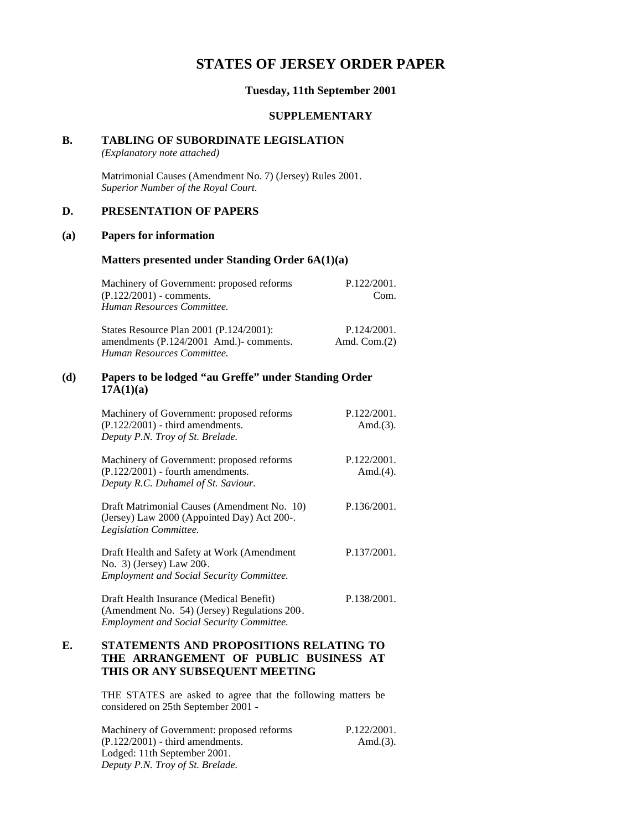## **STATES OF JERSEY ORDER PAPER**

#### **Tuesday, 11th September 2001**

#### **SUPPLEMENTARY**

#### **B. TABLING OF SUBORDINATE LEGISLATION**

*(Explanatory note attached)*

Matrimonial Causes (Amendment No. 7) (Jersey) Rules 2001. *Superior Number of the Royal Court.*

## **D. PRESENTATION OF PAPERS**

#### **(a) Papers for information**

### **Matters presented under Standing Order 6A(1)(a)**

| Machinery of Government: proposed reforms<br>$(P.122/2001)$ - comments.<br>Human Resources Committee.            | P.122/2001.<br>Com.            |
|------------------------------------------------------------------------------------------------------------------|--------------------------------|
| States Resource Plan 2001 (P.124/2001):<br>amendments (P.124/2001 Amd.)- comments.<br>Human Resources Committee. | P.124/2001.<br>Amd. Com. $(2)$ |

## **(d) Papers to be lodged "au Greffe" under Standing Order 17A(1)(a)**

| Machinery of Government: proposed reforms<br>$(P.122/2001)$ - third amendments.<br>Deputy P.N. Troy of St. Brelade.                          | P.122/2001.<br>Amd. $(3)$ . |
|----------------------------------------------------------------------------------------------------------------------------------------------|-----------------------------|
| Machinery of Government: proposed reforms<br>$(P.122/2001)$ - fourth amendments.<br>Deputy R.C. Duhamel of St. Saviour.                      | P.122/2001.<br>Amd. $(4)$ . |
| Draft Matrimonial Causes (Amendment No. 10)<br>(Jersey) Law 2000 (Appointed Day) Act 200-.<br>Legislation Committee.                         | P.136/2001.                 |
| Draft Health and Safety at Work (Amendment<br>No. 3) (Jersey) Law 200.<br><b>Employment and Social Security Committee.</b>                   | P.137/2001.                 |
| Draft Health Insurance (Medical Benefit)<br>(Amendment No. 54) (Jersey) Regulations 200.<br><b>Employment and Social Security Committee.</b> | P.138/2001.                 |

## **E. STATEMENTS AND PROPOSITIONS RELATING TO THE ARRANGEMENT OF PUBLIC BUSINESS AT THIS OR ANY SUBSEQUENT MEETING**

THE STATES are asked to agree that the following matters be considered on 25th September 2001 -

Machinery of Government: proposed reforms (P.122/2001) - third amendments. Lodged: 11th September 2001. *Deputy P.N. Troy of St. Brelade.* P.122/2001. Amd.(3).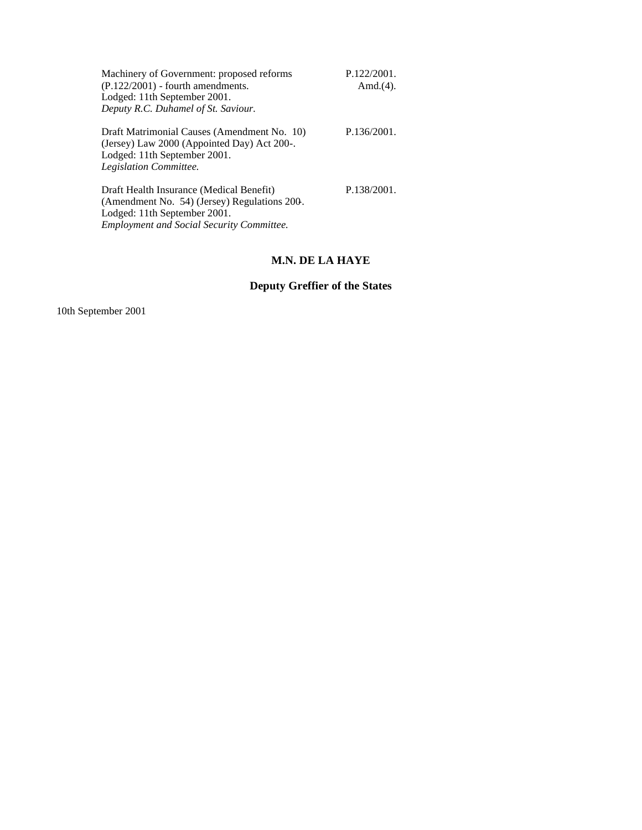| Machinery of Government: proposed reforms<br>$(P.122/2001)$ - fourth amendments.<br>Lodged: 11th September 2001.<br>Deputy R.C. Duhamel of St. Saviour.                      | P.122/2001.<br>Amd. $(4)$ . |
|------------------------------------------------------------------------------------------------------------------------------------------------------------------------------|-----------------------------|
| Draft Matrimonial Causes (Amendment No. 10)<br>(Jersey) Law 2000 (Appointed Day) Act 200-.<br>Lodged: 11th September 2001.<br>Legislation Committee.                         | P.136/2001.                 |
| Draft Health Insurance (Medical Benefit)<br>(Amendment No. 54) (Jersey) Regulations 200.<br>Lodged: 11th September 2001.<br><b>Employment and Social Security Committee.</b> | P.138/2001.                 |

# **M.N. DE LA HAYE**

# **Deputy Greffier of the States**

10th September 2001